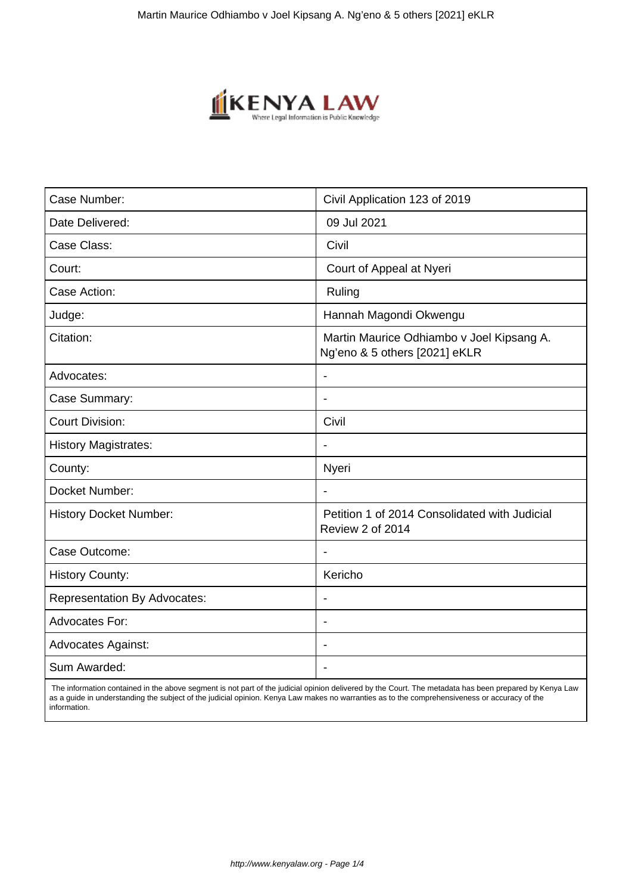

| Case Number:                        | Civil Application 123 of 2019                                              |
|-------------------------------------|----------------------------------------------------------------------------|
| Date Delivered:                     | 09 Jul 2021                                                                |
| Case Class:                         | Civil                                                                      |
| Court:                              | Court of Appeal at Nyeri                                                   |
| Case Action:                        | Ruling                                                                     |
| Judge:                              | Hannah Magondi Okwengu                                                     |
| Citation:                           | Martin Maurice Odhiambo v Joel Kipsang A.<br>Ng'eno & 5 others [2021] eKLR |
| Advocates:                          | $\overline{\phantom{a}}$                                                   |
| Case Summary:                       | $\blacksquare$                                                             |
| <b>Court Division:</b>              | Civil                                                                      |
| <b>History Magistrates:</b>         |                                                                            |
| County:                             | Nyeri                                                                      |
| Docket Number:                      | $\blacksquare$                                                             |
| <b>History Docket Number:</b>       | Petition 1 of 2014 Consolidated with Judicial<br>Review 2 of 2014          |
| Case Outcome:                       | $\blacksquare$                                                             |
| <b>History County:</b>              | Kericho                                                                    |
| <b>Representation By Advocates:</b> | $\blacksquare$                                                             |
| <b>Advocates For:</b>               | $\overline{\phantom{a}}$                                                   |
| <b>Advocates Against:</b>           | $\blacksquare$                                                             |
| Sum Awarded:                        |                                                                            |

 The information contained in the above segment is not part of the judicial opinion delivered by the Court. The metadata has been prepared by Kenya Law as a guide in understanding the subject of the judicial opinion. Kenya Law makes no warranties as to the comprehensiveness or accuracy of the information.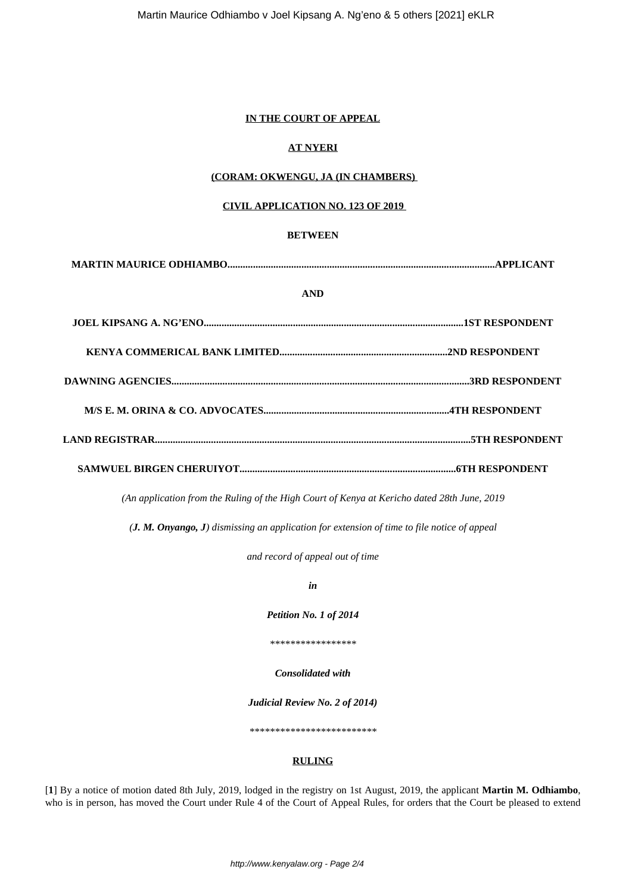### **IN THE COURT OF APPEAL**

# **AT NYERI**

### **(CORAM: OKWENGU, JA (IN CHAMBERS)**

### **CIVIL APPLICATION NO. 123 OF 2019**

### **BETWEEN**

**MARTIN MAURICE ODHIAMBO.........................................................................................................APPLICANT**

### **AND**

*(An application from the Ruling of the High Court of Kenya at Kericho dated 28th June, 2019*

*(J. M. Onyango, J) dismissing an application for extension of time to file notice of appeal*

*and record of appeal out of time*

*in*

*Petition No. 1 of 2014*

*\*\*\*\*\*\*\*\*\*\*\*\*\*\*\*\*\**

*Consolidated with*

*Judicial Review No. 2 of 2014)*

*\*\*\*\*\*\*\*\*\*\*\*\*\*\*\*\*\*\*\*\*\*\*\*\*\**

### **RULING**

[**1**] By a notice of motion dated 8th July, 2019, lodged in the registry on 1st August, 2019, the applicant **Martin M. Odhiambo**, who is in person, has moved the Court under Rule 4 of the Court of Appeal Rules, for orders that the Court be pleased to extend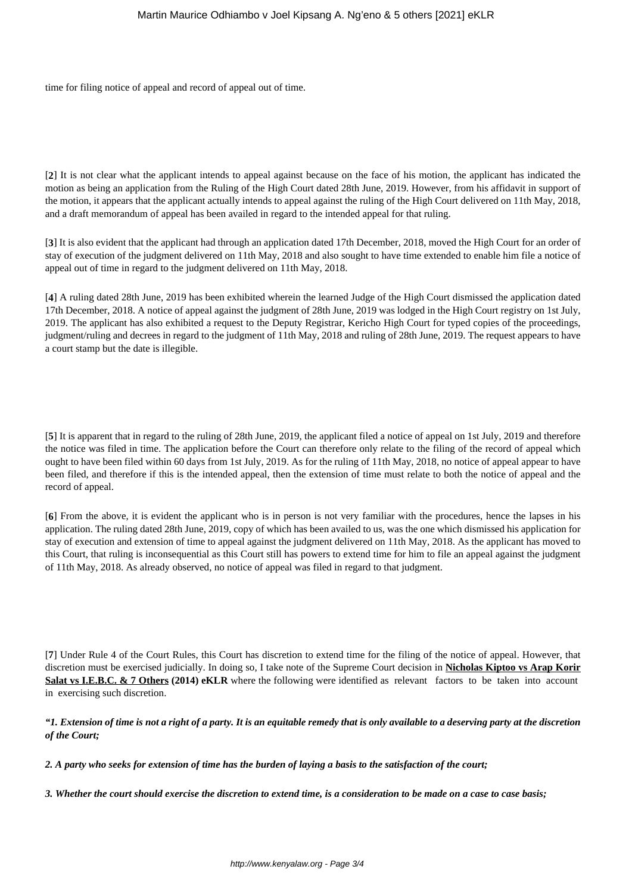time for filing notice of appeal and record of appeal out of time.

[**2**] It is not clear what the applicant intends to appeal against because on the face of his motion, the applicant has indicated the motion as being an application from the Ruling of the High Court dated 28th June, 2019. However, from his affidavit in support of the motion, it appears that the applicant actually intends to appeal against the ruling of the High Court delivered on 11th May, 2018, and a draft memorandum of appeal has been availed in regard to the intended appeal for that ruling.

[**3**] It is also evident that the applicant had through an application dated 17th December, 2018, moved the High Court for an order of stay of execution of the judgment delivered on 11th May, 2018 and also sought to have time extended to enable him file a notice of appeal out of time in regard to the judgment delivered on 11th May, 2018.

[**4**] A ruling dated 28th June, 2019 has been exhibited wherein the learned Judge of the High Court dismissed the application dated 17th December, 2018. A notice of appeal against the judgment of 28th June, 2019 was lodged in the High Court registry on 1st July, 2019. The applicant has also exhibited a request to the Deputy Registrar, Kericho High Court for typed copies of the proceedings, judgment/ruling and decrees in regard to the judgment of 11th May, 2018 and ruling of 28th June, 2019. The request appears to have a court stamp but the date is illegible.

[5] It is apparent that in regard to the ruling of 28th June, 2019, the applicant filed a notice of appeal on 1st July, 2019 and therefore the notice was filed in time. The application before the Court can therefore only relate to the filing of the record of appeal which ought to have been filed within 60 days from 1st July, 2019. As for the ruling of 11th May, 2018, no notice of appeal appear to have been filed, and therefore if this is the intended appeal, then the extension of time must relate to both the notice of appeal and the record of appeal.

[**6**] From the above, it is evident the applicant who is in person is not very familiar with the procedures, hence the lapses in his application. The ruling dated 28th June, 2019, copy of which has been availed to us, was the one which dismissed his application for stay of execution and extension of time to appeal against the judgment delivered on 11th May, 2018. As the applicant has moved to this Court, that ruling is inconsequential as this Court still has powers to extend time for him to file an appeal against the judgment of 11th May, 2018. As already observed, no notice of appeal was filed in regard to that judgment.

[**7**] Under Rule 4 of the Court Rules, this Court has discretion to extend time for the filing of the notice of appeal. However, that discretion must be exercised judicially. In doing so, I take note of the Supreme Court decision in **Nicholas Kiptoo vs Arap Korir Salat vs I.E.B.C. & 7 Others (2014) eKLR** where the following were identified as relevant factors to be taken into account in exercising such discretion.

## *"1. Extension of time is not a right of a party. It is an equitable remedy that is only available to a deserving party at the discretion of the Court;*

*2. A party who seeks for extension of time has the burden of laying a basis to the satisfaction of the court;*

*3. Whether the court should exercise the discretion to extend time, is a consideration to be made on a case to case basis;*